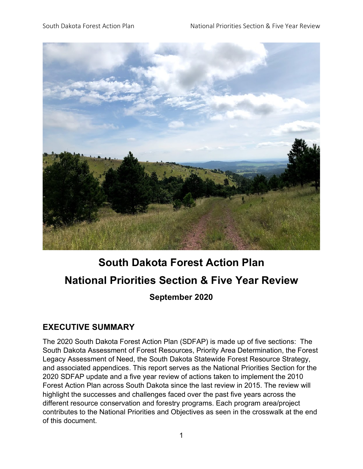

# **South Dakota Forest Action Plan National Priorities Section & Five Year Review September 2020**

## **EXECUTIVE SUMMARY**

The 2020 South Dakota Forest Action Plan (SDFAP) is made up of five sections: The South Dakota Assessment of Forest Resources, Priority Area Determination, the Forest Legacy Assessment of Need, the South Dakota Statewide Forest Resource Strategy, and associated appendices. This report serves as the National Priorities Section for the 2020 SDFAP update and a five year review of actions taken to implement the 2010 Forest Action Plan across South Dakota since the last review in 2015. The review will highlight the successes and challenges faced over the past five years across the different resource conservation and forestry programs. Each program area/project contributes to the National Priorities and Objectives as seen in the crosswalk at the end of this document.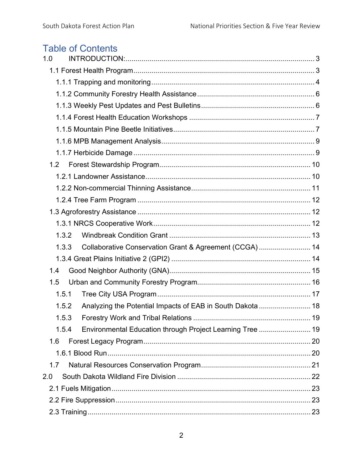## **Table of Contents**

| 1.0                                                                |  |
|--------------------------------------------------------------------|--|
|                                                                    |  |
|                                                                    |  |
|                                                                    |  |
|                                                                    |  |
|                                                                    |  |
|                                                                    |  |
|                                                                    |  |
|                                                                    |  |
| 1.2                                                                |  |
|                                                                    |  |
|                                                                    |  |
|                                                                    |  |
|                                                                    |  |
|                                                                    |  |
| 1.3.2                                                              |  |
| Collaborative Conservation Grant & Agreement (CCGA)  14<br>1.3.3   |  |
|                                                                    |  |
| 1.4                                                                |  |
| 1.5                                                                |  |
| 1.5.1                                                              |  |
| 1.5.2                                                              |  |
| 1.5.3                                                              |  |
| Environmental Education through Project Learning Tree  19<br>1.5.4 |  |
| 1.6                                                                |  |
|                                                                    |  |
| 1.7                                                                |  |
| 2.0                                                                |  |
|                                                                    |  |
|                                                                    |  |
|                                                                    |  |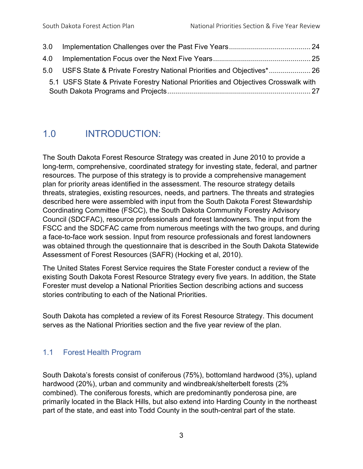| 5.1 USFS State & Private Forestry National Priorities and Objectives Crosswalk with |  |
|-------------------------------------------------------------------------------------|--|
|                                                                                     |  |

## <span id="page-2-0"></span>1.0 INTRODUCTION:

The South Dakota Forest Resource Strategy was created in June 2010 to provide a long-term, comprehensive, coordinated strategy for investing state, federal, and partner resources. The purpose of this strategy is to provide a comprehensive management plan for priority areas identified in the assessment. The resource strategy details threats, strategies, existing resources, needs, and partners. The threats and strategies described here were assembled with input from the South Dakota Forest Stewardship Coordinating Committee (FSCC), the South Dakota Community Forestry Advisory Council (SDCFAC), resource professionals and forest landowners. The input from the FSCC and the SDCFAC came from numerous meetings with the two groups, and during a face-to-face work session. Input from resource professionals and forest landowners was obtained through the questionnaire that is described in the South Dakota Statewide Assessment of Forest Resources (SAFR) (Hocking et al, 2010).

The United States Forest Service requires the State Forester conduct a review of the existing South Dakota Forest Resource Strategy every five years. In addition, the State Forester must develop a National Priorities Section describing actions and success stories contributing to each of the National Priorities.

South Dakota has completed a review of its Forest Resource Strategy. This document serves as the National Priorities section and the five year review of the plan.

## <span id="page-2-1"></span>1.1 Forest Health Program

South Dakota's forests consist of coniferous (75%), bottomland hardwood (3%), upland hardwood (20%), urban and community and windbreak/shelterbelt forests (2% combined). The coniferous forests, which are predominantly ponderosa pine, are primarily located in the Black Hills, but also extend into Harding County in the northeast part of the state, and east into Todd County in the south-central part of the state.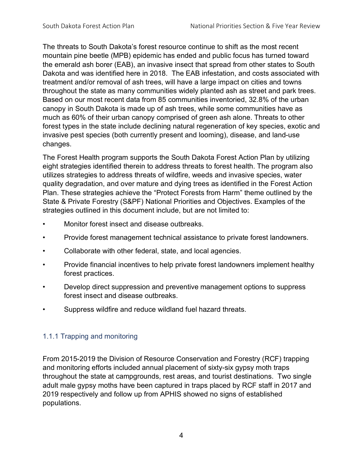The threats to South Dakota's forest resource continue to shift as the most recent mountain pine beetle (MPB) epidemic has ended and public focus has turned toward the emerald ash borer (EAB), an invasive insect that spread from other states to South Dakota and was identified here in 2018. The EAB infestation, and costs associated with treatment and/or removal of ash trees, will have a large impact on cities and towns throughout the state as many communities widely planted ash as street and park trees. Based on our most recent data from 85 communities inventoried, 32.8% of the urban canopy in South Dakota is made up of ash trees, while some communities have as much as 60% of their urban canopy comprised of green ash alone. Threats to other forest types in the state include declining natural regeneration of key species, exotic and invasive pest species (both currently present and looming), disease, and land-use changes.

The Forest Health program supports the South Dakota Forest Action Plan by utilizing eight strategies identified therein to address threats to forest health. The program also utilizes strategies to address threats of wildfire, weeds and invasive species, water quality degradation, and over mature and dying trees as identified in the Forest Action Plan. These strategies achieve the "Protect Forests from Harm" theme outlined by the State & Private Forestry (S&PF) National Priorities and Objectives. Examples of the strategies outlined in this document include, but are not limited to:

- Monitor forest insect and disease outbreaks.
- Provide forest management technical assistance to private forest landowners.
- Collaborate with other federal, state, and local agencies.
- Provide financial incentives to help private forest landowners implement healthy forest practices.
- Develop direct suppression and preventive management options to suppress forest insect and disease outbreaks.
- Suppress wildfire and reduce wildland fuel hazard threats.

### <span id="page-3-0"></span>1.1.1 Trapping and monitoring

From 2015-2019 the Division of Resource Conservation and Forestry (RCF) trapping and monitoring efforts included annual placement of sixty-six gypsy moth traps throughout the state at campgrounds, rest areas, and tourist destinations. Two single adult male gypsy moths have been captured in traps placed by RCF staff in 2017 and 2019 respectively and follow up from APHIS showed no signs of established populations.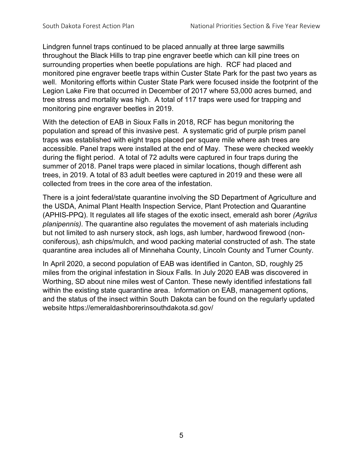Lindgren funnel traps continued to be placed annually at three large sawmills throughout the Black Hills to trap pine engraver beetle which can kill pine trees on surrounding properties when beetle populations are high. RCF had placed and monitored pine engraver beetle traps within Custer State Park for the past two years as well. Monitoring efforts within Custer State Park were focused inside the footprint of the Legion Lake Fire that occurred in December of 2017 where 53,000 acres burned, and tree stress and mortality was high. A total of 117 traps were used for trapping and monitoring pine engraver beetles in 2019.

With the detection of EAB in Sioux Falls in 2018, RCF has begun monitoring the population and spread of this invasive pest. A systematic grid of purple prism panel traps was established with eight traps placed per square mile where ash trees are accessible. Panel traps were installed at the end of May. These were checked weekly during the flight period. A total of 72 adults were captured in four traps during the summer of 2018. Panel traps were placed in similar locations, though different ash trees, in 2019. A total of 83 adult beetles were captured in 2019 and these were all collected from trees in the core area of the infestation.

There is a joint federal/state quarantine involving the SD Department of Agriculture and the USDA, Animal Plant Health Inspection Service, Plant Protection and Quarantine (APHIS-PPQ). It regulates all life stages of the exotic insect, emerald ash borer *(Agrilus planipennis)*. The quarantine also regulates the movement of ash materials including but not limited to ash nursery stock, ash logs, ash lumber, hardwood firewood (nonconiferous), ash chips/mulch, and wood packing material constructed of ash. The state quarantine area includes all of Minnehaha County, Lincoln County and Turner County.

In April 2020, a second population of EAB was identified in Canton, SD, roughly 25 miles from the original infestation in Sioux Falls. In July 2020 EAB was discovered in Worthing, SD about nine miles west of Canton. These newly identified infestations fall within the existing state quarantine area. Information on EAB, management options, and the status of the insect within South Dakota can be found on the regularly updated website https://emeraldashborerinsouthdakota.sd.gov/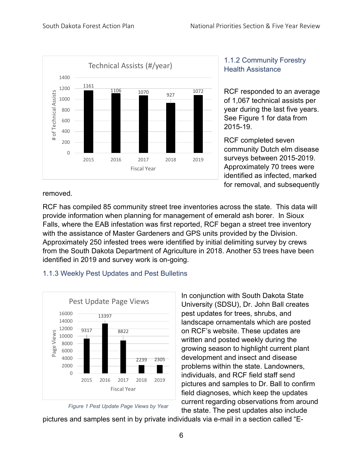

## <span id="page-5-0"></span>1.1.2 Community Forestry Health Assistance

RCF responded to an average of 1,067 technical assists per year during the last five years. See Figure 1 for data from 2015-19.

RCF completed seven community Dutch elm disease surveys between 2015-2019. Approximately 70 trees were identified as infected, marked for removal, and subsequently

removed.

RCF has compiled 85 community street tree inventories across the state. This data will provide information when planning for management of emerald ash borer. In Sioux Falls, where the EAB infestation was first reported, RCF began a street tree inventory with the assistance of Master Gardeners and GPS units provided by the Division. Approximately 250 infested trees were identified by initial delimiting survey by crews from the South Dakota Department of Agriculture in 2018. Another 53 trees have been identified in 2019 and survey work is on-going.

## <span id="page-5-1"></span>1.1.3 Weekly Pest Updates and Pest Bulletins





In conjunction with South Dakota State University (SDSU), Dr. John Ball creates pest updates for trees, shrubs, and landscape ornamentals which are posted on RCF's website. These updates are written and posted weekly during the growing season to highlight current plant development and insect and disease problems within the state. Landowners, individuals, and RCF field staff send pictures and samples to Dr. Ball to confirm field diagnoses, which keep the updates current regarding observations from around the state. The pest updates also include

pictures and samples sent in by private individuals via e-mail in a section called "E-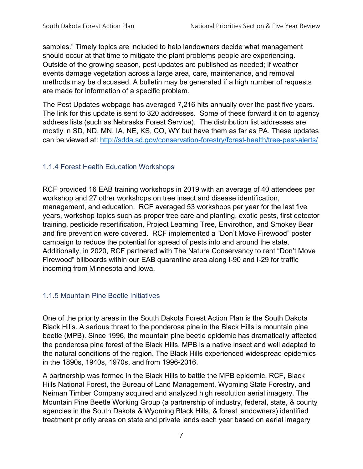samples." Timely topics are included to help landowners decide what management should occur at that time to mitigate the plant problems people are experiencing. Outside of the growing season, pest updates are published as needed; if weather events damage vegetation across a large area, care, maintenance, and removal methods may be discussed. A bulletin may be generated if a high number of requests are made for information of a specific problem.

The Pest Updates webpage has averaged 7,216 hits annually over the past five years. The link for this update is sent to 320 addresses. Some of these forward it on to agency address lists (such as Nebraska Forest Service). The distribution list addresses are mostly in SD, ND, MN, IA, NE, KS, CO, WY but have them as far as PA. These updates can be viewed at:<http://sdda.sd.gov/conservation-forestry/forest-health/tree-pest-alerts/>

### <span id="page-6-0"></span>1.1.4 Forest Health Education Workshops

RCF provided 16 EAB training workshops in 2019 with an average of 40 attendees per workshop and 27 other workshops on tree insect and disease identification, management, and education. RCF averaged 53 workshops per year for the last five years, workshop topics such as proper tree care and planting, exotic pests, first detector training, pesticide recertification, Project Learning Tree, Envirothon, and Smokey Bear and fire prevention were covered. RCF implemented a "Don't Move Firewood" poster campaign to reduce the potential for spread of pests into and around the state. Additionally, in 2020, RCF partnered with The Nature Conservancy to rent "Don't Move Firewood" billboards within our EAB quarantine area along I-90 and I-29 for traffic incoming from Minnesota and Iowa.

### <span id="page-6-1"></span>1.1.5 Mountain Pine Beetle Initiatives

One of the priority areas in the South Dakota Forest Action Plan is the South Dakota Black Hills. A serious threat to the ponderosa pine in the Black Hills is mountain pine beetle (MPB). Since 1996, the mountain pine beetle epidemic has dramatically affected the ponderosa pine forest of the Black Hills. MPB is a native insect and well adapted to the natural conditions of the region. The Black Hills experienced widespread epidemics in the 1890s, 1940s, 1970s, and from 1996-2016.

A partnership was formed in the Black Hills to battle the MPB epidemic. RCF, Black Hills National Forest, the Bureau of Land Management, Wyoming State Forestry, and Neiman Timber Company acquired and analyzed high resolution aerial imagery. The Mountain Pine Beetle Working Group (a partnership of industry, federal, state, & county agencies in the South Dakota & Wyoming Black Hills, & forest landowners) identified treatment priority areas on state and private lands each year based on aerial imagery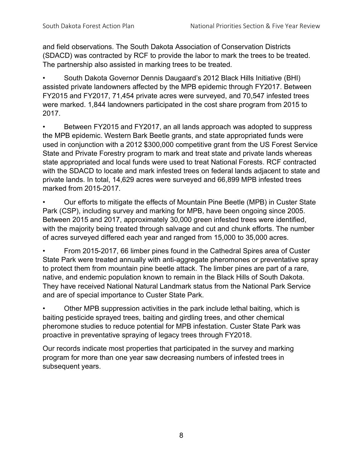and field observations. The South Dakota Association of Conservation Districts (SDACD) was contracted by RCF to provide the labor to mark the trees to be treated. The partnership also assisted in marking trees to be treated.

• South Dakota Governor Dennis Daugaard's 2012 Black Hills Initiative (BHI) assisted private landowners affected by the MPB epidemic through FY2017. Between FY2015 and FY2017, 71,454 private acres were surveyed, and 70,547 infested trees were marked. 1,844 landowners participated in the cost share program from 2015 to 2017.

Between FY2015 and FY2017, an all lands approach was adopted to suppress the MPB epidemic. Western Bark Beetle grants, and state appropriated funds were used in conjunction with a 2012 \$300,000 competitive grant from the US Forest Service State and Private Forestry program to mark and treat state and private lands whereas state appropriated and local funds were used to treat National Forests. RCF contracted with the SDACD to locate and mark infested trees on federal lands adjacent to state and private lands. In total, 14,629 acres were surveyed and 66,899 MPB infested trees marked from 2015-2017.

• Our efforts to mitigate the effects of Mountain Pine Beetle (MPB) in Custer State Park (CSP), including survey and marking for MPB, have been ongoing since 2005. Between 2015 and 2017, approximately 30,000 green infested trees were identified, with the majority being treated through salvage and cut and chunk efforts. The number of acres surveyed differed each year and ranged from 15,000 to 35,000 acres.

• From 2015-2017, 66 limber pines found in the Cathedral Spires area of Custer State Park were treated annually with anti-aggregate pheromones or preventative spray to protect them from mountain pine beetle attack. The limber pines are part of a rare, native, and endemic population known to remain in the Black Hills of South Dakota. They have received National Natural Landmark status from the National Park Service and are of special importance to Custer State Park.

• Other MPB suppression activities in the park include lethal baiting, which is baiting pesticide sprayed trees, baiting and girdling trees, and other chemical pheromone studies to reduce potential for MPB infestation. Custer State Park was proactive in preventative spraying of legacy trees through FY2018.

Our records indicate most properties that participated in the survey and marking program for more than one year saw decreasing numbers of infested trees in subsequent years.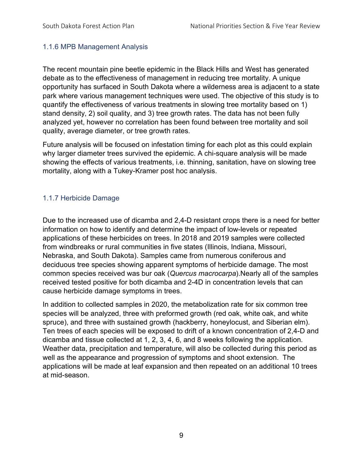### <span id="page-8-0"></span>1.1.6 MPB Management Analysis

The recent mountain pine beetle epidemic in the Black Hills and West has generated debate as to the effectiveness of management in reducing tree mortality. A unique opportunity has surfaced in South Dakota where a wilderness area is adjacent to a state park where various management techniques were used. The objective of this study is to quantify the effectiveness of various treatments in slowing tree mortality based on 1) stand density, 2) soil quality, and 3) tree growth rates. The data has not been fully analyzed yet, however no correlation has been found between tree mortality and soil quality, average diameter, or tree growth rates.

Future analysis will be focused on infestation timing for each plot as this could explain why larger diameter trees survived the epidemic. A chi-square analysis will be made showing the effects of various treatments, i.e. thinning, sanitation, have on slowing tree mortality, along with a Tukey-Kramer post hoc analysis.

## <span id="page-8-1"></span>1.1.7 Herbicide Damage

Due to the increased use of dicamba and 2,4-D resistant crops there is a need for better information on how to identify and determine the impact of low-levels or repeated applications of these herbicides on trees. In 2018 and 2019 samples were collected from windbreaks or rural communities in five states (Illinois, Indiana, Missouri, Nebraska, and South Dakota). Samples came from numerous coniferous and deciduous tree species showing apparent symptoms of herbicide damage. The most common species received was bur oak (*Quercus macrocarpa*).Nearly all of the samples received tested positive for both dicamba and 2-4D in concentration levels that can cause herbicide damage symptoms in trees.

In addition to collected samples in 2020, the metabolization rate for six common tree species will be analyzed, three with preformed growth (red oak, white oak, and white spruce), and three with sustained growth (hackberry, honeylocust, and Siberian elm). Ten trees of each species will be exposed to drift of a known concentration of 2,4-D and dicamba and tissue collected at 1, 2, 3, 4, 6, and 8 weeks following the application. Weather data, precipitation and temperature, will also be collected during this period as well as the appearance and progression of symptoms and shoot extension. The applications will be made at leaf expansion and then repeated on an additional 10 trees at mid-season.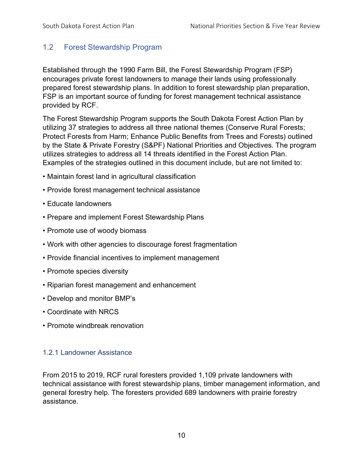## <span id="page-9-0"></span>1.2 Forest Stewardship Program

Established through the 1990 Farm Bill, the Forest Stewardship Program (FSP) encourages private forest landowners to manage their lands using professionally prepared forest stewardship plans. In addition to forest stewardship plan preparation, FSP is an important source of funding for forest management technical assistance provided by RCF.

The Forest Stewardship Program supports the South Dakota Forest Action Plan by utilizing 37 strategies to address all three national themes (Conserve Rural Forests; Protect Forests from Harm; Enhance Public Benefits from Trees and Forests) outlined by the State & Private Forestry (S&PF) National Priorities and Objectives. The program utilizes strategies to address all 14 threats identified in the Forest Action Plan. Examples of the strategies outlined in this document include, but are not limited to:

- Maintain forest land in agricultural classification
- Provide forest management technical assistance
- Educate landowners
- Prepare and implement Forest Stewardship Plans
- Promote use of woody biomass
- Work with other agencies to discourage forest fragmentation
- Provide financial incentives to implement management
- Promote species diversity
- Riparian forest management and enhancement
- Develop and monitor BMP's
- Coordinate with NRCS
- Promote windbreak renovation

### <span id="page-9-1"></span>1.2.1 Landowner Assistance

From 2015 to 2019, RCF rural foresters provided 1,109 private landowners with technical assistance with forest stewardship plans, timber management information, and general forestry help. The foresters provided 689 landowners with prairie forestry assistance.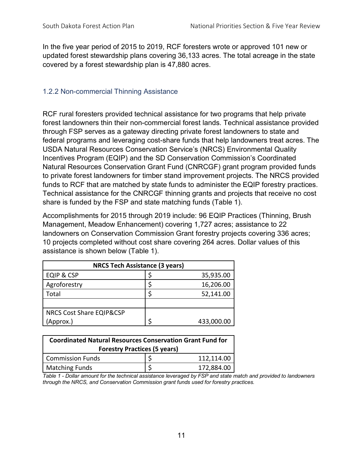In the five year period of 2015 to 2019, RCF foresters wrote or approved 101 new or updated forest stewardship plans covering 36,133 acres. The total acreage in the state covered by a forest stewardship plan is 47,880 acres.

## <span id="page-10-0"></span>1.2.2 Non-commercial Thinning Assistance

RCF rural foresters provided technical assistance for two programs that help private forest landowners thin their non-commercial forest lands. Technical assistance provided through FSP serves as a gateway directing private forest landowners to state and federal programs and leveraging cost-share funds that help landowners treat acres. The USDA Natural Resources Conservation Service's (NRCS) Environmental Quality Incentives Program (EQIP) and the SD Conservation Commission's Coordinated Natural Resources Conservation Grant Fund (CNRCGF) grant program provided funds to private forest landowners for timber stand improvement projects. The NRCS provided funds to RCF that are matched by state funds to administer the EQIP forestry practices. Technical assistance for the CNRCGF thinning grants and projects that receive no cost share is funded by the FSP and state matching funds (Table 1).

Accomplishments for 2015 through 2019 include: 96 EQIP Practices (Thinning, Brush Management, Meadow Enhancement) covering 1,727 acres; assistance to 22 landowners on Conservation Commission Grant forestry projects covering 336 acres; 10 projects completed without cost share covering 264 acres. Dollar values of this assistance is shown below (Table 1).

| <b>NRCS Tech Assistance (3 years)</b> |  |            |  |  |  |  |  |  |  |
|---------------------------------------|--|------------|--|--|--|--|--|--|--|
| <b>EQIP &amp; CSP</b>                 |  | 35,935.00  |  |  |  |  |  |  |  |
| Agroforestry                          |  | 16,206.00  |  |  |  |  |  |  |  |
| Total                                 |  | 52,141.00  |  |  |  |  |  |  |  |
|                                       |  |            |  |  |  |  |  |  |  |
| <b>NRCS Cost Share EQIP&amp;CSP</b>   |  |            |  |  |  |  |  |  |  |
| (Approx.)                             |  | 433,000.00 |  |  |  |  |  |  |  |

| <b>Coordinated Natural Resources Conservation Grant Fund for</b><br><b>Forestry Practices (5 years)</b> |  |            |  |  |  |  |  |  |  |
|---------------------------------------------------------------------------------------------------------|--|------------|--|--|--|--|--|--|--|
| <b>Commission Funds</b>                                                                                 |  | 112,114.00 |  |  |  |  |  |  |  |
| <b>Matching Funds</b>                                                                                   |  | 172,884.00 |  |  |  |  |  |  |  |

*Table 1 - Dollar amount for the technical assistance leveraged by FSP and state match and provided to landowners through the NRCS, and Conservation Commission grant funds used for forestry practices.*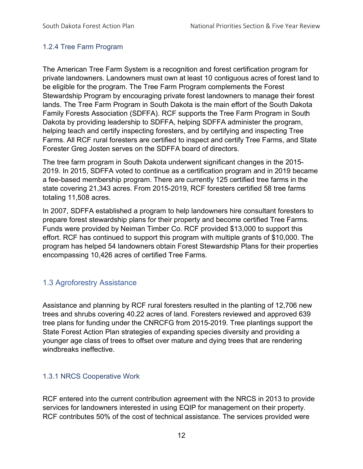### <span id="page-11-0"></span>1.2.4 Tree Farm Program

The American Tree Farm System is a recognition and forest certification program for private landowners. Landowners must own at least 10 contiguous acres of forest land to be eligible for the program. The Tree Farm Program complements the Forest Stewardship Program by encouraging private forest landowners to manage their forest lands. The Tree Farm Program in South Dakota is the main effort of the South Dakota Family Forests Association (SDFFA). RCF supports the Tree Farm Program in South Dakota by providing leadership to SDFFA, helping SDFFA administer the program, helping teach and certify inspecting foresters, and by certifying and inspecting Tree Farms. All RCF rural foresters are certified to inspect and certify Tree Farms, and State Forester Greg Josten serves on the SDFFA board of directors.

The tree farm program in South Dakota underwent significant changes in the 2015- 2019. In 2015, SDFFA voted to continue as a certification program and in 2019 became a fee-based membership program. There are currently 125 certified tree farms in the state covering 21,343 acres. From 2015-2019, RCF foresters certified 58 tree farms totaling 11,508 acres.

In 2007, SDFFA established a program to help landowners hire consultant foresters to prepare forest stewardship plans for their property and become certified Tree Farms. Funds were provided by Neiman Timber Co. RCF provided \$13,000 to support this effort. RCF has continued to support this program with multiple grants of \$10,000. The program has helped 54 landowners obtain Forest Stewardship Plans for their properties encompassing 10,426 acres of certified Tree Farms.

## <span id="page-11-1"></span>1.3 Agroforestry Assistance

Assistance and planning by RCF rural foresters resulted in the planting of 12,706 new trees and shrubs covering 40.22 acres of land. Foresters reviewed and approved 639 tree plans for funding under the CNRCFG from 2015-2019. Tree plantings support the State Forest Action Plan strategies of expanding species diversity and providing a younger age class of trees to offset over mature and dying trees that are rendering windbreaks ineffective.

### <span id="page-11-2"></span>1.3.1 NRCS Cooperative Work

RCF entered into the current contribution agreement with the NRCS in 2013 to provide services for landowners interested in using EQIP for management on their property. RCF contributes 50% of the cost of technical assistance. The services provided were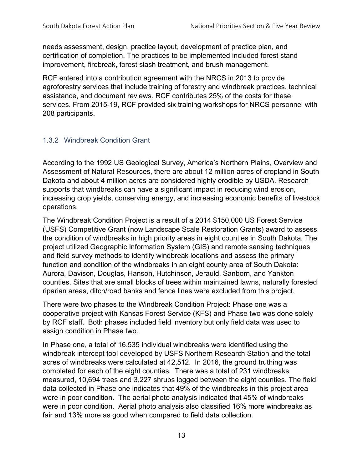needs assessment, design, practice layout, development of practice plan, and certification of completion. The practices to be implemented included forest stand improvement, firebreak, forest slash treatment, and brush management.

RCF entered into a contribution agreement with the NRCS in 2013 to provide agroforestry services that include training of forestry and windbreak practices, technical assistance, and document reviews. RCF contributes 25% of the costs for these services. From 2015-19, RCF provided six training workshops for NRCS personnel with 208 participants.

## <span id="page-12-0"></span>1.3.2 Windbreak Condition Grant

According to the 1992 US Geological Survey, America's Northern Plains, Overview and Assessment of Natural Resources, there are about 12 million acres of cropland in South Dakota and about 4 million acres are considered highly erodible by USDA. Research supports that windbreaks can have a significant impact in reducing wind erosion, increasing crop yields, conserving energy, and increasing economic benefits of livestock operations.

The Windbreak Condition Project is a result of a 2014 \$150,000 US Forest Service (USFS) Competitive Grant (now Landscape Scale Restoration Grants) award to assess the condition of windbreaks in high priority areas in eight counties in South Dakota. The project utilized Geographic Information System (GIS) and remote sensing techniques and field survey methods to identify windbreak locations and assess the primary function and condition of the windbreaks in an eight county area of South Dakota: Aurora, Davison, Douglas, Hanson, Hutchinson, Jerauld, Sanborn, and Yankton counties. Sites that are small blocks of trees within maintained lawns, naturally forested riparian areas, ditch/road banks and fence lines were excluded from this project.

There were two phases to the Windbreak Condition Project: Phase one was a cooperative project with Kansas Forest Service (KFS) and Phase two was done solely by RCF staff. Both phases included field inventory but only field data was used to assign condition in Phase two.

In Phase one, a total of 16,535 individual windbreaks were identified using the windbreak intercept tool developed by USFS Northern Research Station and the total acres of windbreaks were calculated at 42,512. In 2016, the ground truthing was completed for each of the eight counties. There was a total of 231 windbreaks measured, 10,694 trees and 3,227 shrubs logged between the eight counties. The field data collected in Phase one indicates that 49% of the windbreaks in this project area were in poor condition. The aerial photo analysis indicated that 45% of windbreaks were in poor condition. Aerial photo analysis also classified 16% more windbreaks as fair and 13% more as good when compared to field data collection.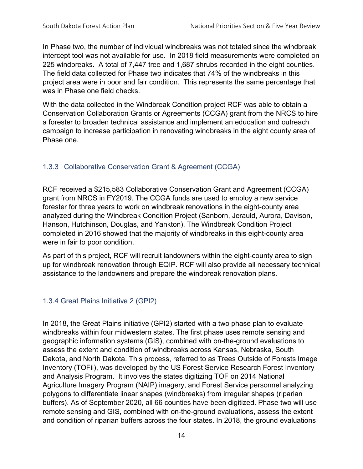In Phase two, the number of individual windbreaks was not totaled since the windbreak intercept tool was not available for use. In 2018 field measurements were completed on 225 windbreaks. A total of 7,447 tree and 1,687 shrubs recorded in the eight counties. The field data collected for Phase two indicates that 74% of the windbreaks in this project area were in poor and fair condition. This represents the same percentage that was in Phase one field checks.

With the data collected in the Windbreak Condition project RCF was able to obtain a Conservation Collaboration Grants or Agreements (CCGA) grant from the NRCS to hire a forester to broaden technical assistance and implement an education and outreach campaign to increase participation in renovating windbreaks in the eight county area of Phase one.

## <span id="page-13-0"></span>1.3.3 Collaborative Conservation Grant & Agreement (CCGA)

RCF received a \$215,583 Collaborative Conservation Grant and Agreement (CCGA) grant from NRCS in FY2019. The CCGA funds are used to employ a new service forester for three years to work on windbreak renovations in the eight-county area analyzed during the Windbreak Condition Project (Sanborn, Jerauld, Aurora, Davison, Hanson, Hutchinson, Douglas, and Yankton). The Windbreak Condition Project completed in 2016 showed that the majority of windbreaks in this eight-county area were in fair to poor condition.

As part of this project, RCF will recruit landowners within the eight-county area to sign up for windbreak renovation through EQIP. RCF will also provide all necessary technical assistance to the landowners and prepare the windbreak renovation plans.

### <span id="page-13-1"></span>1.3.4 Great Plains Initiative 2 (GPI2)

In 2018, the Great Plains initiative (GPI2) started with a two phase plan to evaluate windbreaks within four midwestern states. The first phase uses remote sensing and geographic information systems (GIS), combined with on-the-ground evaluations to assess the extent and condition of windbreaks across Kansas, Nebraska, South Dakota, and North Dakota. This process, referred to as Trees Outside of Forests Image Inventory (TOFii), was developed by the US Forest Service Research Forest Inventory and Analysis Program. It involves the states digitizing TOF on 2014 National Agriculture Imagery Program (NAIP) imagery, and Forest Service personnel analyzing polygons to differentiate linear shapes (windbreaks) from irregular shapes (riparian buffers). As of September 2020, all 66 counties have been digitized. Phase two will use remote sensing and GIS, combined with on-the-ground evaluations, assess the extent and condition of riparian buffers across the four states. In 2018, the ground evaluations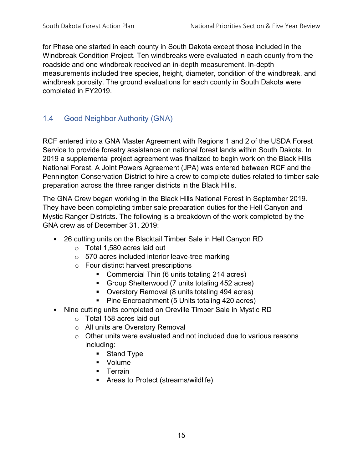for Phase one started in each county in South Dakota except those included in the Windbreak Condition Project. Ten windbreaks were evaluated in each county from the roadside and one windbreak received an in-depth measurement. In-depth measurements included tree species, height, diameter, condition of the windbreak, and windbreak porosity. The ground evaluations for each county in South Dakota were completed in FY2019.

## <span id="page-14-0"></span>1.4 Good Neighbor Authority (GNA)

RCF entered into a GNA Master Agreement with Regions 1 and 2 of the USDA Forest Service to provide forestry assistance on national forest lands within South Dakota. In 2019 a supplemental project agreement was finalized to begin work on the Black Hills National Forest. A Joint Powers Agreement (JPA) was entered between RCF and the Pennington Conservation District to hire a crew to complete duties related to timber sale preparation across the three ranger districts in the Black Hills.

The GNA Crew began working in the Black Hills National Forest in September 2019. They have been completing timber sale preparation duties for the Hell Canyon and Mystic Ranger Districts. The following is a breakdown of the work completed by the GNA crew as of December 31, 2019:

- 26 cutting units on the Blacktail Timber Sale in Hell Canyon RD
	- o Total 1,580 acres laid out
	- o 570 acres included interior leave-tree marking
	- o Four distinct harvest prescriptions
		- **Commercial Thin (6 units totaling 214 acres)**
		- **Group Shelterwood (7 units totaling 452 acres)**
		- Overstory Removal (8 units totaling 494 acres)
		- Pine Encroachment (5 Units totaling 420 acres)
- Nine cutting units completed on Oreville Timber Sale in Mystic RD
	- o Total 158 acres laid out
	- o All units are Overstory Removal
	- $\circ$  Other units were evaluated and not included due to various reasons including:
		- Stand Type
		- **v** Volume
		- **Terrain**
		- Areas to Protect (streams/wildlife)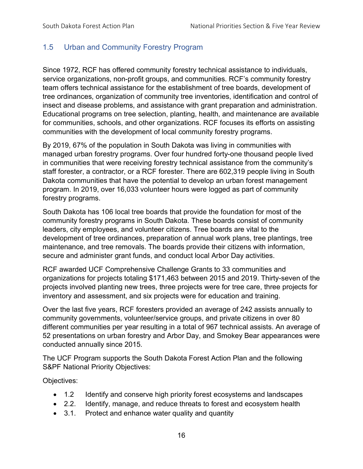## <span id="page-15-0"></span>1.5 Urban and Community Forestry Program

Since 1972, RCF has offered community forestry technical assistance to individuals, service organizations, non-profit groups, and communities. RCF's community forestry team offers technical assistance for the establishment of tree boards, development of tree ordinances, organization of community tree inventories, identification and control of insect and disease problems, and assistance with grant preparation and administration. Educational programs on tree selection, planting, health, and maintenance are available for communities, schools, and other organizations. RCF focuses its efforts on assisting communities with the development of local community forestry programs.

By 2019, 67% of the population in South Dakota was living in communities with managed urban forestry programs. Over four hundred forty-one thousand people lived in communities that were receiving forestry technical assistance from the community's staff forester, a contractor, or a RCF forester. There are 602,319 people living in South Dakota communities that have the potential to develop an urban forest management program. In 2019, over 16,033 volunteer hours were logged as part of community forestry programs.

South Dakota has 106 local tree boards that provide the foundation for most of the community forestry programs in South Dakota. These boards consist of community leaders, city employees, and volunteer citizens. Tree boards are vital to the development of tree ordinances, preparation of annual work plans, tree plantings, tree maintenance, and tree removals. The boards provide their citizens with information, secure and administer grant funds, and conduct local Arbor Day activities.

RCF awarded UCF Comprehensive Challenge Grants to 33 communities and organizations for projects totaling \$171,463 between 2015 and 2019. Thirty-seven of the projects involved planting new trees, three projects were for tree care, three projects for inventory and assessment, and six projects were for education and training.

Over the last five years, RCF foresters provided an average of 242 assists annually to community governments, volunteer/service groups, and private citizens in over 80 different communities per year resulting in a total of 967 technical assists. An average of 52 presentations on urban forestry and Arbor Day, and Smokey Bear appearances were conducted annually since 2015.

The UCF Program supports the South Dakota Forest Action Plan and the following S&PF National Priority Objectives:

Objectives:

- 1.2 Identify and conserve high priority forest ecosystems and landscapes
- 2.2. Identify, manage, and reduce threats to forest and ecosystem health
- 3.1. Protect and enhance water quality and quantity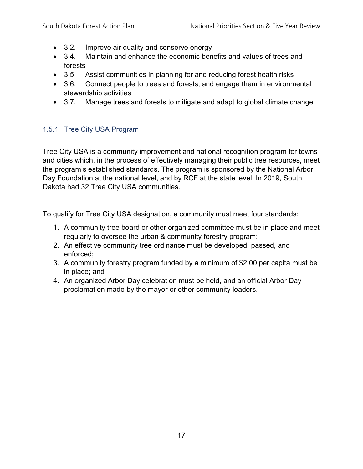- 3.2. Improve air quality and conserve energy
- 3.4. Maintain and enhance the economic benefits and values of trees and forests
- 3.5 Assist communities in planning for and reducing forest health risks
- 3.6. Connect people to trees and forests, and engage them in environmental stewardship activities
- 3.7. Manage trees and forests to mitigate and adapt to global climate change

## <span id="page-16-0"></span>1.5.1 Tree City USA Program

Tree City USA is a community improvement and national recognition program for towns and cities which, in the process of effectively managing their public tree resources, meet the program's established standards. The program is sponsored by the National Arbor Day Foundation at the national level, and by RCF at the state level. In 2019, South Dakota had 32 Tree City USA communities.

To qualify for Tree City USA designation, a community must meet four standards:

- 1. A community tree board or other organized committee must be in place and meet regularly to oversee the urban & community forestry program;
- 2. An effective community tree ordinance must be developed, passed, and enforced;
- 3. A community forestry program funded by a minimum of \$2.00 per capita must be in place; and
- 4. An organized Arbor Day celebration must be held, and an official Arbor Day proclamation made by the mayor or other community leaders.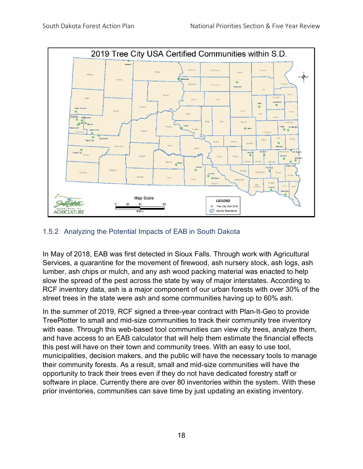

## <span id="page-17-0"></span>1.5.2 Analyzing the Potential Impacts of EAB in South Dakota

In May of 2018, EAB was first detected in Sioux Falls. Through work with Agricultural Services, a quarantine for the movement of firewood, ash nursery stock, ash logs, ash lumber, ash chips or mulch, and any ash wood packing material was enacted to help slow the spread of the pest across the state by way of major interstates. According to RCF inventory data, ash is a major component of our urban forests with over 30% of the street trees in the state were ash and some communities having up to 60% ash.

In the summer of 2019, RCF signed a three-year contract with Plan-It-Geo to provide TreePlotter to small and mid-size communities to track their community tree inventory with ease. Through this web-based tool communities can view city trees, analyze them, and have access to an EAB calculator that will help them estimate the financial effects this pest will have on their town and community trees. With an easy to use tool, municipalities, decision makers, and the public will have the necessary tools to manage their community forests. As a result, small and mid-size communities will have the opportunity to track their trees even if they do not have dedicated forestry staff or software in place. Currently there are over 80 inventories within the system. With these prior inventories, communities can save time by just updating an existing inventory.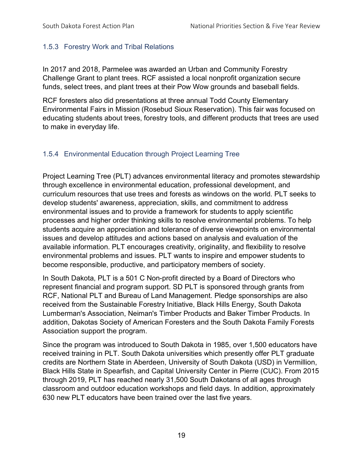### <span id="page-18-0"></span>1.5.3 Forestry Work and Tribal Relations

In 2017 and 2018, Parmelee was awarded an Urban and Community Forestry Challenge Grant to plant trees. RCF assisted a local nonprofit organization secure funds, select trees, and plant trees at their Pow Wow grounds and baseball fields.

RCF foresters also did presentations at three annual Todd County Elementary Environmental Fairs in Mission (Rosebud Sioux Reservation). This fair was focused on educating students about trees, forestry tools, and different products that trees are used to make in everyday life.

## <span id="page-18-1"></span>1.5.4 Environmental Education through Project Learning Tree

Project Learning Tree (PLT) advances environmental literacy and promotes stewardship through excellence in environmental education, professional development, and curriculum resources that use trees and forests as windows on the world. PLT seeks to develop students' awareness, appreciation, skills, and commitment to address environmental issues and to provide a framework for students to apply scientific processes and higher order thinking skills to resolve environmental problems. To help students acquire an appreciation and tolerance of diverse viewpoints on environmental issues and develop attitudes and actions based on analysis and evaluation of the available information. PLT encourages creativity, originality, and flexibility to resolve environmental problems and issues. PLT wants to inspire and empower students to become responsible, productive, and participatory members of society.

In South Dakota, PLT is a 501 C Non-profit directed by a Board of Directors who represent financial and program support. SD PLT is sponsored through grants from RCF, National PLT and Bureau of Land Management. Pledge sponsorships are also received from the Sustainable Forestry Initiative, Black Hills Energy, South Dakota Lumberman's Association, Neiman's Timber Products and Baker Timber Products. In addition, Dakotas Society of American Foresters and the South Dakota Family Forests Association support the program.

Since the program was introduced to South Dakota in 1985, over 1,500 educators have received training in PLT. South Dakota universities which presently offer PLT graduate credits are Northern State in Aberdeen, University of South Dakota (USD) in Vermillion, Black Hills State in Spearfish, and Capital University Center in Pierre (CUC). From 2015 through 2019, PLT has reached nearly 31,500 South Dakotans of all ages through classroom and outdoor education workshops and field days. In addition, approximately 630 new PLT educators have been trained over the last five years.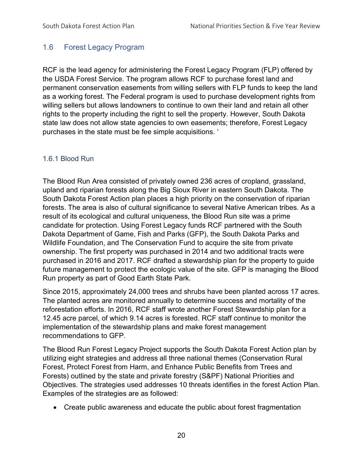## <span id="page-19-0"></span>1.6 Forest Legacy Program

RCF is the lead agency for administering the Forest Legacy Program (FLP) offered by the USDA Forest Service. The program allows RCF to purchase forest land and permanent conservation easements from willing sellers with FLP funds to keep the land as a working forest. The Federal program is used to purchase development rights from willing sellers but allows landowners to continue to own their land and retain all other rights to the property including the right to sell the property. However, South Dakota state law does not allow state agencies to own easements; therefore, Forest Legacy purchases in the state must be fee simple acquisitions. '

### <span id="page-19-1"></span>1.6.1 Blood Run

The Blood Run Area consisted of privately owned 236 acres of cropland, grassland, upland and riparian forests along the Big Sioux River in eastern South Dakota. The South Dakota Forest Action plan places a high priority on the conservation of riparian forests. The area is also of cultural significance to several Native American tribes. As a result of its ecological and cultural uniqueness, the Blood Run site was a prime candidate for protection. Using Forest Legacy funds RCF partnered with the South Dakota Department of Game, Fish and Parks (GFP), the South Dakota Parks and Wildlife Foundation, and The Conservation Fund to acquire the site from private ownership. The first property was purchased in 2014 and two additional tracts were purchased in 2016 and 2017. RCF drafted a stewardship plan for the property to guide future management to protect the ecologic value of the site. GFP is managing the Blood Run property as part of Good Earth State Park.

Since 2015, approximately 24,000 trees and shrubs have been planted across 17 acres. The planted acres are monitored annually to determine success and mortality of the reforestation efforts. In 2016, RCF staff wrote another Forest Stewardship plan for a 12.45 acre parcel, of which 9.14 acres is forested. RCF staff continue to monitor the implementation of the stewardship plans and make forest management recommendations to GFP.

The Blood Run Forest Legacy Project supports the South Dakota Forest Action plan by utilizing eight strategies and address all three national themes (Conservation Rural Forest, Protect Forest from Harm, and Enhance Public Benefits from Trees and Forests) outlined by the state and private forestry (S&PF) National Priorities and Objectives. The strategies used addresses 10 threats identifies in the forest Action Plan. Examples of the strategies are as followed:

• Create public awareness and educate the public about forest fragmentation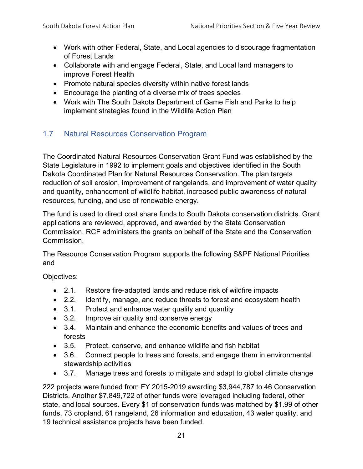- Work with other Federal, State, and Local agencies to discourage fragmentation of Forest Lands
- Collaborate with and engage Federal, State, and Local land managers to improve Forest Health
- Promote natural species diversity within native forest lands
- Encourage the planting of a diverse mix of trees species
- Work with The South Dakota Department of Game Fish and Parks to help implement strategies found in the Wildlife Action Plan

## <span id="page-20-0"></span>1.7 Natural Resources Conservation Program

The Coordinated Natural Resources Conservation Grant Fund was established by the State Legislature in 1992 to implement goals and objectives identified in the South Dakota Coordinated Plan for Natural Resources Conservation. The plan targets reduction of soil erosion, improvement of rangelands, and improvement of water quality and quantity, enhancement of wildlife habitat, increased public awareness of natural resources, funding, and use of renewable energy.

The fund is used to direct cost share funds to South Dakota conservation districts. Grant applications are reviewed, approved, and awarded by the State Conservation Commission. RCF administers the grants on behalf of the State and the Conservation Commission.

The Resource Conservation Program supports the following S&PF National Priorities and

Objectives:

- 2.1. Restore fire-adapted lands and reduce risk of wildfire impacts
- 2.2. Identify, manage, and reduce threats to forest and ecosystem health
- 3.1. Protect and enhance water quality and quantity
- 3.2. Improve air quality and conserve energy
- 3.4. Maintain and enhance the economic benefits and values of trees and forests
- 3.5. Protect, conserve, and enhance wildlife and fish habitat
- 3.6. Connect people to trees and forests, and engage them in environmental stewardship activities
- 3.7. Manage trees and forests to mitigate and adapt to global climate change

222 projects were funded from FY 2015-2019 awarding \$3,944,787 to 46 Conservation Districts. Another \$7,849,722 of other funds were leveraged including federal, other state, and local sources. Every \$1 of conservation funds was matched by \$1.99 of other funds. 73 cropland, 61 rangeland, 26 information and education, 43 water quality, and 19 technical assistance projects have been funded.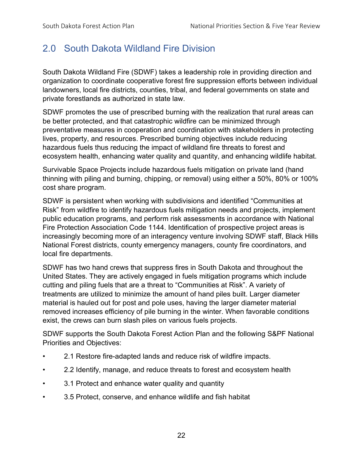## <span id="page-21-0"></span>2.0 South Dakota Wildland Fire Division

South Dakota Wildland Fire (SDWF) takes a leadership role in providing direction and organization to coordinate cooperative forest fire suppression efforts between individual landowners, local fire districts, counties, tribal, and federal governments on state and private forestlands as authorized in state law.

SDWF promotes the use of prescribed burning with the realization that rural areas can be better protected, and that catastrophic wildfire can be minimized through preventative measures in cooperation and coordination with stakeholders in protecting lives, property, and resources. Prescribed burning objectives include reducing hazardous fuels thus reducing the impact of wildland fire threats to forest and ecosystem health, enhancing water quality and quantity, and enhancing wildlife habitat.

Survivable Space Projects include hazardous fuels mitigation on private land (hand thinning with piling and burning, chipping, or removal) using either a 50%, 80% or 100% cost share program.

SDWF is persistent when working with subdivisions and identified "Communities at Risk" from wildfire to identify hazardous fuels mitigation needs and projects, implement public education programs, and perform risk assessments in accordance with National Fire Protection Association Code 1144. Identification of prospective project areas is increasingly becoming more of an interagency venture involving SDWF staff, Black Hills National Forest districts, county emergency managers, county fire coordinators, and local fire departments.

SDWF has two hand crews that suppress fires in South Dakota and throughout the United States. They are actively engaged in fuels mitigation programs which include cutting and piling fuels that are a threat to "Communities at Risk". A variety of treatments are utilized to minimize the amount of hand piles built. Larger diameter material is hauled out for post and pole uses, having the larger diameter material removed increases efficiency of pile burning in the winter. When favorable conditions exist, the crews can burn slash piles on various fuels projects.

SDWF supports the South Dakota Forest Action Plan and the following S&PF National Priorities and Objectives:

- 2.1 Restore fire-adapted lands and reduce risk of wildfire impacts.
- 2.2 Identify, manage, and reduce threats to forest and ecosystem health
- 3.1 Protect and enhance water quality and quantity
- 3.5 Protect, conserve, and enhance wildlife and fish habitat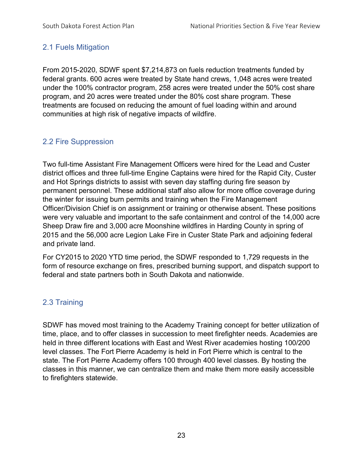## <span id="page-22-0"></span>2.1 Fuels Mitigation

From 2015-2020, SDWF spent \$7,214,873 on fuels reduction treatments funded by federal grants. 600 acres were treated by State hand crews, 1,048 acres were treated under the 100% contractor program, 258 acres were treated under the 50% cost share program, and 20 acres were treated under the 80% cost share program. These treatments are focused on reducing the amount of fuel loading within and around communities at high risk of negative impacts of wildfire.

## <span id="page-22-1"></span>2.2 Fire Suppression

Two full-time Assistant Fire Management Officers were hired for the Lead and Custer district offices and three full-time Engine Captains were hired for the Rapid City, Custer and Hot Springs districts to assist with seven day staffing during fire season by permanent personnel. These additional staff also allow for more office coverage during the winter for issuing burn permits and training when the Fire Management Officer/Division Chief is on assignment or training or otherwise absent. These positions were very valuable and important to the safe containment and control of the 14,000 acre Sheep Draw fire and 3,000 acre Moonshine wildfires in Harding County in spring of 2015 and the 56,000 acre Legion Lake Fire in Custer State Park and adjoining federal and private land.

For CY2015 to 2020 YTD time period, the SDWF responded to 1,729 requests in the form of resource exchange on fires, prescribed burning support, and dispatch support to federal and state partners both in South Dakota and nationwide.

## <span id="page-22-2"></span>2.3 Training

SDWF has moved most training to the Academy Training concept for better utilization of time, place, and to offer classes in succession to meet firefighter needs. Academies are held in three different locations with East and West River academies hosting 100/200 level classes. The Fort Pierre Academy is held in Fort Pierre which is central to the state. The Fort Pierre Academy offers 100 through 400 level classes. By hosting the classes in this manner, we can centralize them and make them more easily accessible to firefighters statewide.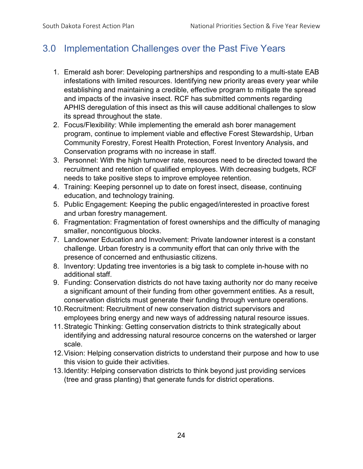## <span id="page-23-0"></span>3.0 Implementation Challenges over the Past Five Years

- 1. Emerald ash borer: Developing partnerships and responding to a multi-state EAB infestations with limited resources. Identifying new priority areas every year while establishing and maintaining a credible, effective program to mitigate the spread and impacts of the invasive insect. RCF has submitted comments regarding APHIS deregulation of this insect as this will cause additional challenges to slow its spread throughout the state.
- 2. Focus/Flexibility: While implementing the emerald ash borer management program, continue to implement viable and effective Forest Stewardship, Urban Community Forestry, Forest Health Protection, Forest Inventory Analysis, and Conservation programs with no increase in staff.
- 3. Personnel: With the high turnover rate, resources need to be directed toward the recruitment and retention of qualified employees. With decreasing budgets, RCF needs to take positive steps to improve employee retention.
- 4. Training: Keeping personnel up to date on forest insect, disease, continuing education, and technology training.
- 5. Public Engagement: Keeping the public engaged/interested in proactive forest and urban forestry management.
- 6. Fragmentation: Fragmentation of forest ownerships and the difficulty of managing smaller, noncontiguous blocks.
- 7. Landowner Education and Involvement: Private landowner interest is a constant challenge. Urban forestry is a community effort that can only thrive with the presence of concerned and enthusiastic citizens.
- 8. Inventory: Updating tree inventories is a big task to complete in-house with no additional staff.
- 9. Funding: Conservation districts do not have taxing authority nor do many receive a significant amount of their funding from other government entities. As a result, conservation districts must generate their funding through venture operations.
- 10.Recruitment: Recruitment of new conservation district supervisors and employees bring energy and new ways of addressing natural resource issues.
- 11.Strategic Thinking: Getting conservation districts to think strategically about identifying and addressing natural resource concerns on the watershed or larger scale.
- 12.Vision: Helping conservation districts to understand their purpose and how to use this vision to guide their activities.
- 13.Identity: Helping conservation districts to think beyond just providing services (tree and grass planting) that generate funds for district operations.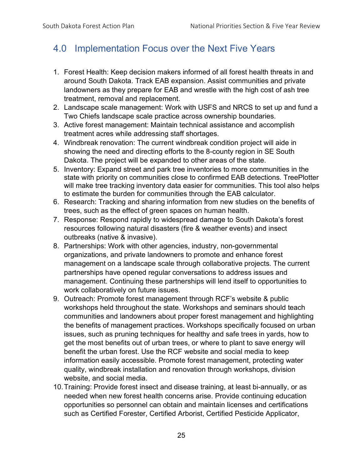## <span id="page-24-0"></span>4.0 Implementation Focus over the Next Five Years

- 1. Forest Health: Keep decision makers informed of all forest health threats in and around South Dakota. Track EAB expansion. Assist communities and private landowners as they prepare for EAB and wrestle with the high cost of ash tree treatment, removal and replacement.
- 2. Landscape scale management: Work with USFS and NRCS to set up and fund a Two Chiefs landscape scale practice across ownership boundaries.
- 3. Active forest management: Maintain technical assistance and accomplish treatment acres while addressing staff shortages.
- 4. Windbreak renovation: The current windbreak condition project will aide in showing the need and directing efforts to the 8-county region in SE South Dakota. The project will be expanded to other areas of the state.
- 5. Inventory: Expand street and park tree inventories to more communities in the state with priority on communities close to confirmed EAB detections. TreePlotter will make tree tracking inventory data easier for communities. This tool also helps to estimate the burden for communities through the EAB calculator.
- 6. Research: Tracking and sharing information from new studies on the benefits of trees, such as the effect of green spaces on human health.
- 7. Response: Respond rapidly to widespread damage to South Dakota's forest resources following natural disasters (fire & weather events) and insect outbreaks (native & invasive).
- 8. Partnerships: Work with other agencies, industry, non-governmental organizations, and private landowners to promote and enhance forest management on a landscape scale through collaborative projects. The current partnerships have opened regular conversations to address issues and management. Continuing these partnerships will lend itself to opportunities to work collaboratively on future issues.
- 9. Outreach: Promote forest management through RCF's website & public workshops held throughout the state. Workshops and seminars should teach communities and landowners about proper forest management and highlighting the benefits of management practices. Workshops specifically focused on urban issues, such as pruning techniques for healthy and safe trees in yards, how to get the most benefits out of urban trees, or where to plant to save energy will benefit the urban forest. Use the RCF website and social media to keep information easily accessible. Promote forest management, protecting water quality, windbreak installation and renovation through workshops, division website, and social media.
- 10.Training: Provide forest insect and disease training, at least bi-annually, or as needed when new forest health concerns arise. Provide continuing education opportunities so personnel can obtain and maintain licenses and certifications such as Certified Forester, Certified Arborist, Certified Pesticide Applicator,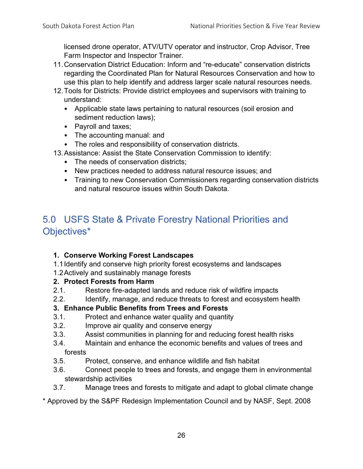licensed drone operator, ATV/UTV operator and instructor, Crop Advisor, Tree Farm Inspector and Inspector Trainer.

- 11.Conservation District Education: Inform and "re-educate" conservation districts regarding the Coordinated Plan for Natural Resources Conservation and how to use this plan to help identify and address larger scale natural resources needs.
- 12.Tools for Districts: Provide district employees and supervisors with training to understand:
	- Applicable state laws pertaining to natural resources (soil erosion and sediment reduction laws);
	- Payroll and taxes;
	- The accounting manual: and
	- The roles and responsibility of conservation districts.
- 13.Assistance: Assist the State Conservation Commission to identify:
	- The needs of conservation districts;
	- New practices needed to address natural resource issues; and
	- Training to new Conservation Commissioners regarding conservation districts and natural resource issues within South Dakota.

## <span id="page-25-0"></span>5.0 USFS State & Private Forestry National Priorities and Objectives\*

## **1. Conserve Working Forest Landscapes**

- 1.1Identify and conserve high priority forest ecosystems and landscapes
- 1.2Actively and sustainably manage forests

## **2. Protect Forests from Harm**

- 2.1. Restore fire-adapted lands and reduce risk of wildfire impacts
- 2.2. Identify, manage, and reduce threats to forest and ecosystem health

### **3. Enhance Public Benefits from Trees and Forests**

- 3.1. Protect and enhance water quality and quantity
- 3.2. Improve air quality and conserve energy
- 3.3. Assist communities in planning for and reducing forest health risks
- 3.4. Maintain and enhance the economic benefits and values of trees and forests
- 3.5. Protect, conserve, and enhance wildlife and fish habitat
- 3.6. Connect people to trees and forests, and engage them in environmental stewardship activities
- 3.7. Manage trees and forests to mitigate and adapt to global climate change
- \* Approved by the S&PF Redesign Implementation Council and by NASF, Sept. 2008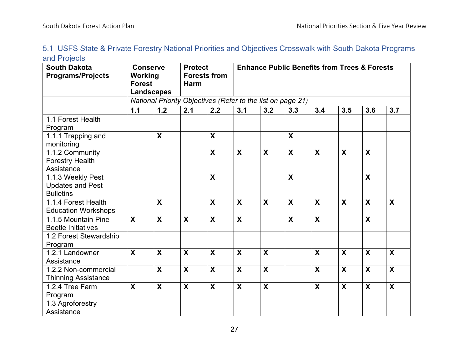| 5.1 USFS State & Private Forestry National Priorities and Objectives Crosswalk with South Dakota Programs |  |  |  |  |  |  |
|-----------------------------------------------------------------------------------------------------------|--|--|--|--|--|--|
| and Projects                                                                                              |  |  |  |  |  |  |

<span id="page-26-0"></span>

| <b>South Dakota</b><br><b>Programs/Projects</b>                  | <b>Conserve</b><br>Working<br><b>Forest</b><br><b>Landscapes</b> |                           | <b>Protect</b><br><b>Forests from</b><br><b>Harm</b> |                           | <b>Enhance Public Benefits from Trees &amp; Forests</b> |                                                             |                           |                           |     |                           |                           |  |  |
|------------------------------------------------------------------|------------------------------------------------------------------|---------------------------|------------------------------------------------------|---------------------------|---------------------------------------------------------|-------------------------------------------------------------|---------------------------|---------------------------|-----|---------------------------|---------------------------|--|--|
|                                                                  |                                                                  |                           |                                                      |                           |                                                         | National Priority Objectives (Refer to the list on page 21) |                           |                           |     |                           |                           |  |  |
|                                                                  | $1.1$                                                            | 1.2                       | 2.1                                                  | 2.2                       | 3.1                                                     | 3.2                                                         | 3.3                       | 3.4                       | 3.5 | 3.6                       | 3.7                       |  |  |
| 1.1 Forest Health<br>Program                                     |                                                                  |                           |                                                      |                           |                                                         |                                                             |                           |                           |     |                           |                           |  |  |
| 1.1.1 Trapping and<br>monitoring                                 |                                                                  | X                         |                                                      | X                         |                                                         |                                                             | $\boldsymbol{\mathsf{X}}$ |                           |     |                           |                           |  |  |
| 1.1.2 Community<br><b>Forestry Health</b><br>Assistance          |                                                                  |                           |                                                      | X                         | X                                                       | X                                                           | X                         | $\boldsymbol{X}$          | X   | X                         |                           |  |  |
| 1.1.3 Weekly Pest<br><b>Updates and Pest</b><br><b>Bulletins</b> |                                                                  |                           |                                                      | $\overline{\mathbf{x}}$   |                                                         |                                                             | $\mathbf{x}$              |                           |     | $\boldsymbol{\mathsf{X}}$ |                           |  |  |
| 1.1.4 Forest Health<br><b>Education Workshops</b>                |                                                                  | X                         |                                                      | X                         | X                                                       | $\boldsymbol{\mathsf{X}}$                                   | X                         | $\boldsymbol{\mathsf{X}}$ | X   | $\boldsymbol{X}$          | X                         |  |  |
| 1.1.5 Mountain Pine<br><b>Beetle Initiatives</b>                 | X                                                                | X                         | X                                                    | X                         | $\boldsymbol{\mathsf{X}}$                               |                                                             | X                         | $\boldsymbol{\mathsf{X}}$ |     | X                         |                           |  |  |
| 1.2 Forest Stewardship<br>Program                                |                                                                  |                           |                                                      |                           |                                                         |                                                             |                           |                           |     |                           |                           |  |  |
| 1.2.1 Landowner<br>Assistance                                    | $\overline{\mathbf{X}}$                                          | $\boldsymbol{\mathsf{X}}$ | $\boldsymbol{\mathsf{X}}$                            | $\boldsymbol{\mathsf{X}}$ | $\boldsymbol{\mathsf{X}}$                               | $\overline{\mathbf{x}}$                                     |                           | $\boldsymbol{\mathsf{X}}$ | X   | $\boldsymbol{X}$          | $\boldsymbol{\mathsf{X}}$ |  |  |
| 1.2.2 Non-commercial<br><b>Thinning Assistance</b>               |                                                                  | X                         | $\boldsymbol{\mathsf{X}}$                            | $\boldsymbol{X}$          | $\boldsymbol{\mathsf{X}}$                               | $\overline{\mathbf{x}}$                                     |                           | $\boldsymbol{X}$          | X   | $\boldsymbol{X}$          | $\mathsf{X}$              |  |  |
| 1.2.4 Tree Farm<br>Program                                       | $\boldsymbol{\mathsf{X}}$                                        | $\boldsymbol{\mathsf{X}}$ | $\boldsymbol{\mathsf{X}}$                            | X                         | $\mathbf{x}$                                            | $\mathbf x$                                                 |                           | $\boldsymbol{\mathsf{X}}$ | X   | $\boldsymbol{X}$          | X                         |  |  |
| 1.3 Agroforestry<br>Assistance                                   |                                                                  |                           |                                                      |                           |                                                         |                                                             |                           |                           |     |                           |                           |  |  |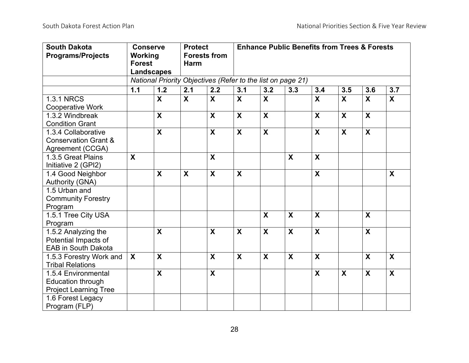| <b>South Dakota</b>             | <b>Conserve</b>           |                           | <b>Protect</b>          |                           | <b>Enhance Public Benefits from Trees &amp; Forests</b>     |                           |                           |                           |                           |                           |                           |  |  |  |
|---------------------------------|---------------------------|---------------------------|-------------------------|---------------------------|-------------------------------------------------------------|---------------------------|---------------------------|---------------------------|---------------------------|---------------------------|---------------------------|--|--|--|
| <b>Programs/Projects</b>        | Working                   |                           | <b>Forests from</b>     |                           |                                                             |                           |                           |                           |                           |                           |                           |  |  |  |
|                                 | <b>Forest</b>             |                           |                         | <b>Harm</b>               |                                                             |                           |                           |                           |                           |                           |                           |  |  |  |
|                                 | <b>Landscapes</b>         |                           |                         |                           |                                                             |                           |                           |                           |                           |                           |                           |  |  |  |
|                                 |                           |                           |                         |                           | National Priority Objectives (Refer to the list on page 21) |                           |                           |                           |                           |                           |                           |  |  |  |
|                                 | $1.1$                     | 1.2                       | 2.1                     | 2.2                       | 3.1                                                         | 3.2                       | 3.3                       | 3.4                       | 3.5                       | 3.6                       | 3.7                       |  |  |  |
| <b>1.3.1 NRCS</b>               |                           | $\overline{\mathbf{X}}$   | $\overline{\mathbf{X}}$ | $\overline{\mathbf{X}}$   | $\overline{\mathbf{X}}$                                     | $\overline{\mathbf{X}}$   |                           | $\overline{\mathbf{X}}$   | $\mathbf{x}$              | $\mathbf{x}$              | $\overline{\mathbf{X}}$   |  |  |  |
| <b>Cooperative Work</b>         |                           |                           |                         |                           |                                                             |                           |                           |                           |                           |                           |                           |  |  |  |
| 1.3.2 Windbreak                 |                           | $\boldsymbol{\mathsf{X}}$ |                         | X                         | $\mathbf{x}$                                                | $\mathbf{x}$              |                           | $\boldsymbol{\mathsf{X}}$ | $\boldsymbol{\mathsf{X}}$ | $\boldsymbol{\mathsf{X}}$ |                           |  |  |  |
| <b>Condition Grant</b>          |                           |                           |                         |                           |                                                             |                           |                           |                           |                           |                           |                           |  |  |  |
| 1.3.4 Collaborative             |                           | $\boldsymbol{\mathsf{X}}$ |                         | $\boldsymbol{\mathsf{X}}$ | $\boldsymbol{\mathsf{X}}$                                   | $\boldsymbol{\mathsf{X}}$ |                           | $\boldsymbol{\mathsf{X}}$ | $\boldsymbol{\mathsf{X}}$ | $\boldsymbol{\mathsf{X}}$ |                           |  |  |  |
| <b>Conservation Grant &amp;</b> |                           |                           |                         |                           |                                                             |                           |                           |                           |                           |                           |                           |  |  |  |
| Agreement (CCGA)                |                           |                           |                         |                           |                                                             |                           |                           |                           |                           |                           |                           |  |  |  |
| 1.3.5 Great Plains              | $\boldsymbol{\mathsf{X}}$ |                           |                         | $\boldsymbol{\mathsf{X}}$ |                                                             |                           | $\boldsymbol{\mathsf{X}}$ | $\boldsymbol{\mathsf{X}}$ |                           |                           |                           |  |  |  |
| Initiative 2 (GPI2)             |                           |                           |                         |                           |                                                             |                           |                           |                           |                           |                           |                           |  |  |  |
| 1.4 Good Neighbor               |                           | X                         | $\boldsymbol{X}$        | X                         | X                                                           |                           |                           | X                         |                           |                           | X                         |  |  |  |
| Authority (GNA)                 |                           |                           |                         |                           |                                                             |                           |                           |                           |                           |                           |                           |  |  |  |
| 1.5 Urban and                   |                           |                           |                         |                           |                                                             |                           |                           |                           |                           |                           |                           |  |  |  |
| <b>Community Forestry</b>       |                           |                           |                         |                           |                                                             |                           |                           |                           |                           |                           |                           |  |  |  |
| Program                         |                           |                           |                         |                           |                                                             |                           |                           |                           |                           |                           |                           |  |  |  |
| 1.5.1 Tree City USA             |                           |                           |                         |                           |                                                             | $\boldsymbol{\mathsf{X}}$ | $\boldsymbol{X}$          | $\boldsymbol{X}$          |                           | $\boldsymbol{X}$          |                           |  |  |  |
| Program                         |                           |                           |                         |                           |                                                             |                           |                           |                           |                           |                           |                           |  |  |  |
| 1.5.2 Analyzing the             |                           | $\mathsf{X}$              |                         | $\mathsf{X}$              | $\mathsf{X}$                                                | $\mathbf{X}$              | $\mathbf{x}$              | $\boldsymbol{X}$          |                           | $\boldsymbol{X}$          |                           |  |  |  |
| Potential Impacts of            |                           |                           |                         |                           |                                                             |                           |                           |                           |                           |                           |                           |  |  |  |
| <b>EAB in South Dakota</b>      |                           |                           |                         |                           |                                                             |                           |                           |                           |                           |                           |                           |  |  |  |
| 1.5.3 Forestry Work and         | X                         | $\boldsymbol{X}$          |                         | X                         | $\mathbf{X}$                                                | $\boldsymbol{\mathsf{X}}$ | $\boldsymbol{\mathsf{X}}$ | $\boldsymbol{\mathsf{X}}$ |                           | $\boldsymbol{X}$          | $\boldsymbol{\mathsf{X}}$ |  |  |  |
| <b>Tribal Relations</b>         |                           |                           |                         |                           |                                                             |                           |                           |                           |                           |                           |                           |  |  |  |
| 1.5.4 Environmental             |                           | $\boldsymbol{\mathsf{X}}$ |                         | $\boldsymbol{\mathsf{X}}$ |                                                             |                           |                           | $\boldsymbol{X}$          | $\boldsymbol{\mathsf{X}}$ | $\boldsymbol{X}$          | $\boldsymbol{\mathsf{X}}$ |  |  |  |
| <b>Education through</b>        |                           |                           |                         |                           |                                                             |                           |                           |                           |                           |                           |                           |  |  |  |
| <b>Project Learning Tree</b>    |                           |                           |                         |                           |                                                             |                           |                           |                           |                           |                           |                           |  |  |  |
| 1.6 Forest Legacy               |                           |                           |                         |                           |                                                             |                           |                           |                           |                           |                           |                           |  |  |  |
| Program (FLP)                   |                           |                           |                         |                           |                                                             |                           |                           |                           |                           |                           |                           |  |  |  |